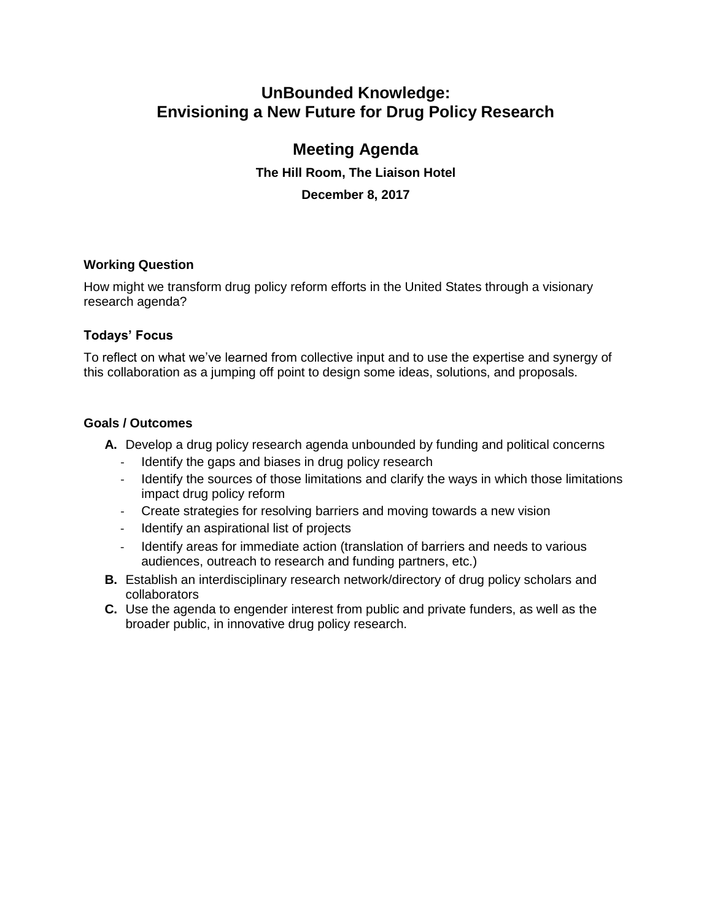# **UnBounded Knowledge: Envisioning a New Future for Drug Policy Research**

# **Meeting Agenda**

**The Hill Room, The Liaison Hotel December 8, 2017**

# **Working Question**

How might we transform drug policy reform efforts in the United States through a visionary research agenda?

# **Todays' Focus**

To reflect on what we've learned from collective input and to use the expertise and synergy of this collaboration as a jumping off point to design some ideas, solutions, and proposals.

### **Goals / Outcomes**

- **A.** Develop a drug policy research agenda unbounded by funding and political concerns
	- Identify the gaps and biases in drug policy research
	- Identify the sources of those limitations and clarify the ways in which those limitations impact drug policy reform
	- Create strategies for resolving barriers and moving towards a new vision
	- Identify an aspirational list of projects
	- Identify areas for immediate action (translation of barriers and needs to various audiences, outreach to research and funding partners, etc.)
- **B.** Establish an interdisciplinary research network/directory of drug policy scholars and collaborators
- **C.** Use the agenda to engender interest from public and private funders, as well as the broader public, in innovative drug policy research.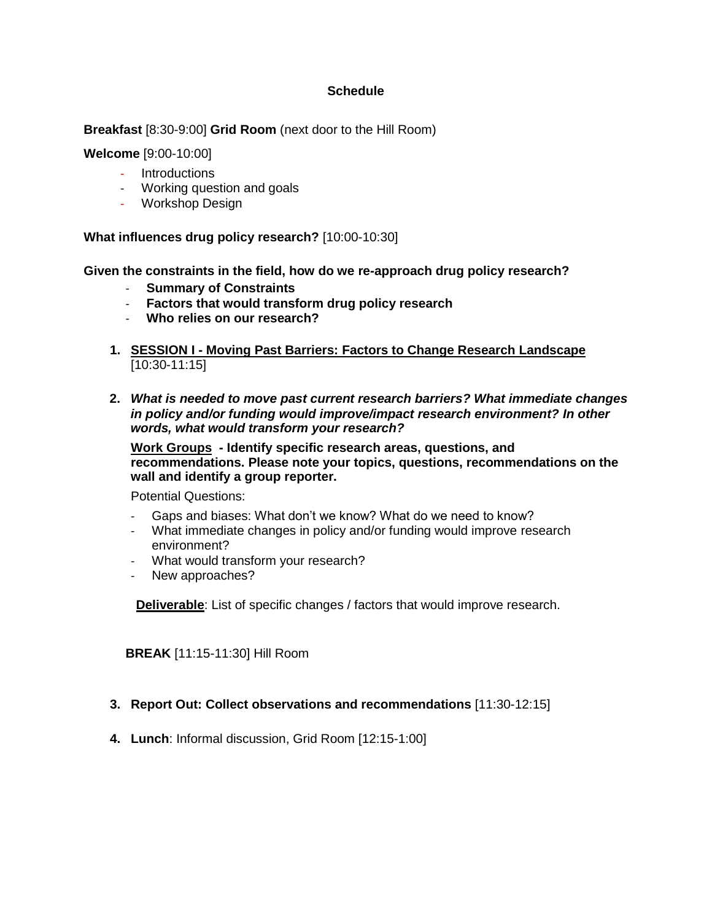### **Schedule**

**Breakfast** [8:30-9:00] **Grid Room** (next door to the Hill Room)

**Welcome** [9:00-10:00]

- Introductions
- Working question and goals
- Workshop Design

**What influences drug policy research?** [10:00-10:30]

**Given the constraints in the field, how do we re-approach drug policy research?** 

- **Summary of Constraints**
- **Factors that would transform drug policy research**
- **Who relies on our research?**
- **1. SESSION I - Moving Past Barriers: Factors to Change Research Landscape** [10:30-11:15]
- **2.** *What is needed to move past current research barriers? What immediate changes in policy and/or funding would improve/impact research environment? In other words, what would transform your research?*

**Work Groups - Identify specific research areas, questions, and recommendations. Please note your topics, questions, recommendations on the wall and identify a group reporter.**

Potential Questions:

- Gaps and biases: What don't we know? What do we need to know?
- What immediate changes in policy and/or funding would improve research environment?
- What would transform your research?
- New approaches?

**Deliverable**: List of specific changes / factors that would improve research.

**BREAK** [11:15-11:30] Hill Room

#### **3. Report Out: Collect observations and recommendations** [11:30-12:15]

**4. Lunch**: Informal discussion, Grid Room [12:15-1:00]